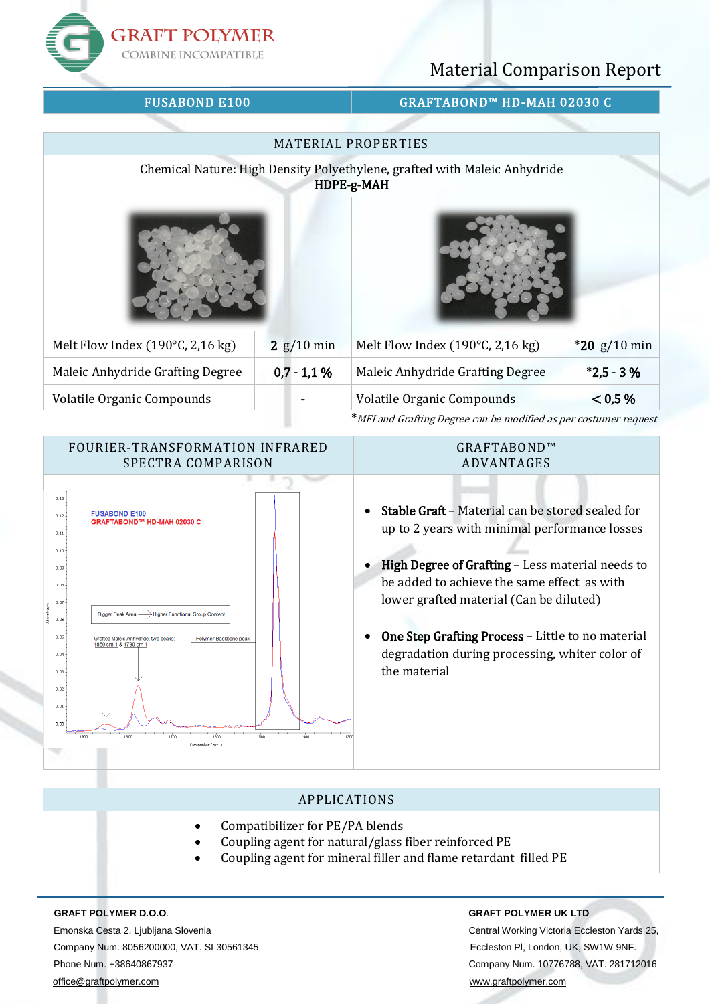**GRAFT POLYMER COMBINE INCOMPATIBLE** 

# Material Comparison Report

# FUSABOND E100 GRAFTABOND™ HD-MAH 02030 C

|                                      |              | <b>MATERIAL PROPERTIES</b>                                                              |                |
|--------------------------------------|--------------|-----------------------------------------------------------------------------------------|----------------|
|                                      |              | Chemical Nature: High Density Polyethylene, grafted with Maleic Anhydride<br>HDPE-g-MAH |                |
|                                      |              |                                                                                         |                |
| Melt Flow Index (190 $°C$ , 2,16 kg) | $2$ g/10 min | Melt Flow Index (190 $°C$ , 2,16 kg)                                                    | $*20$ g/10 min |
| Maleic Anhydride Grafting Degree     | $0,7 - 1,1%$ | Maleic Anhydride Grafting Degree                                                        | $*2,5 - 3%$    |
| Volatile Organic Compounds           |              | Volatile Organic Compounds                                                              | < 0.5 %        |
|                                      |              | * MFI and Grafting Degree can be modified as per costumer request                       |                |



# APPLICATIONS

- Compatibilizer for PE/PA blends
- Coupling agent for natural/glass fiber reinforced PE
- Coupling agent for mineral filler and flame retardant filled PE

Emonska Cesta 2, Ljubljana Slovenia Central Working Victoria Eccleston Yards 25, Company Num. 8056200000, VAT. SI 30561345 Eccleston Pl, London, UK, SW1W 9NF. Phone Num. +38640867937 Company Num. 10776788, VAT. 281712016 [office@graftpolymer.com](mailto:office@graftpolymer.com) [www.graftpolymer.com](http://www.graftpolymer.com/)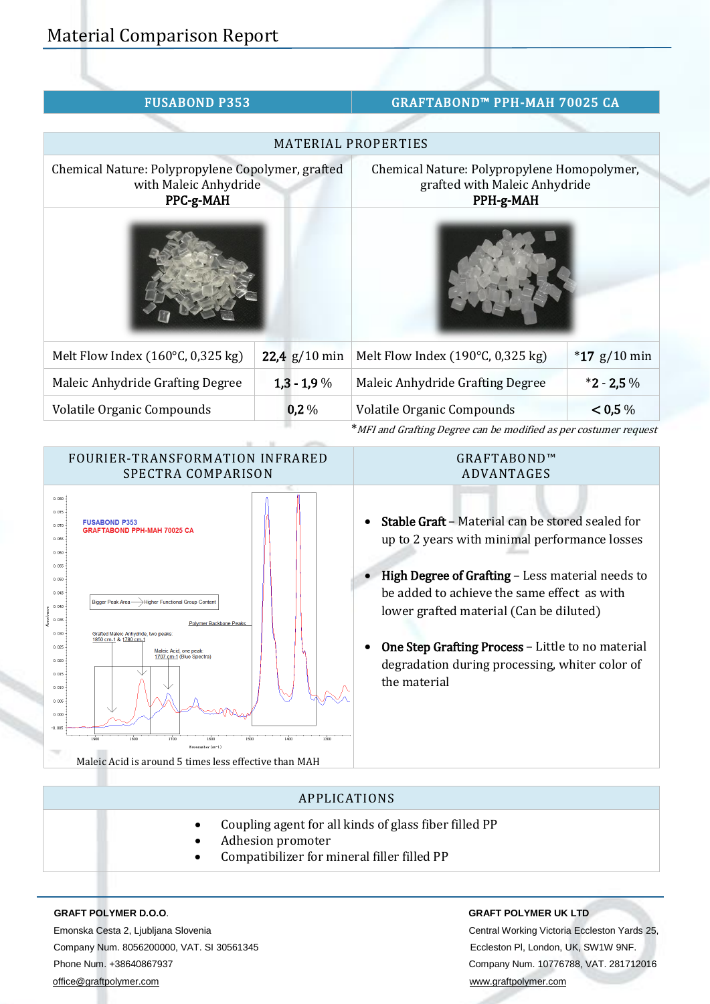| <b>FUSABOND P353</b>                                                                    |                 | GRAFTABOND™ PPH-MAH 70025 CA                                                              |                |
|-----------------------------------------------------------------------------------------|-----------------|-------------------------------------------------------------------------------------------|----------------|
|                                                                                         |                 |                                                                                           |                |
|                                                                                         |                 | <b>MATERIAL PROPERTIES</b>                                                                |                |
| Chemical Nature: Polypropylene Copolymer, grafted<br>with Maleic Anhydride<br>PPC-g-MAH |                 | Chemical Nature: Polypropylene Homopolymer,<br>grafted with Maleic Anhydride<br>PPH-g-MAH |                |
|                                                                                         |                 |                                                                                           |                |
| Melt Flow Index $(160^{\circ}C, 0.325$ kg)                                              | 22,4 $g/10$ min | Melt Flow Index (190 $°C$ , 0,325 kg)                                                     | $*17$ g/10 min |
| Maleic Anhydride Grafting Degree                                                        | $1,3 - 1,9\%$   | Maleic Anhydride Grafting Degree                                                          | $*2 - 2,5\%$   |
| Volatile Organic Compounds                                                              | 0,2%            | Volatile Organic Compounds                                                                | < 0.5 %        |
|                                                                                         |                 | *MFI and Grafting Degree can be modified as per costumer request                          |                |



## GRAFTABOND™ ADVANTAGES

- Stable Graft Material can be stored sealed for up to 2 years with minimal performance losses
- High Degree of Grafting Less material needs to be added to achieve the same effect as with lower grafted material (Can be diluted)
- One Step Grafting Process Little to no material degradation during processing, whiter color of the material

# APPLICATIONS

- Coupling agent for all kinds of glass fiber filled PP
- Adhesion promoter
- Compatibilizer for mineral filler filled PP

Emonska Cesta 2, Ljubljana Slovenia Central Working Victoria Eccleston Yards 25, Company Num. 8056200000, VAT. SI 30561345 Eccleston Pl, London, UK, SW1W 9NF. Phone Num. +38640867937 Company Num. 10776788, VAT. 281712016 [office@graftpolymer.com](mailto:office@graftpolymer.com) [www.graftpolymer.com](http://www.graftpolymer.com/)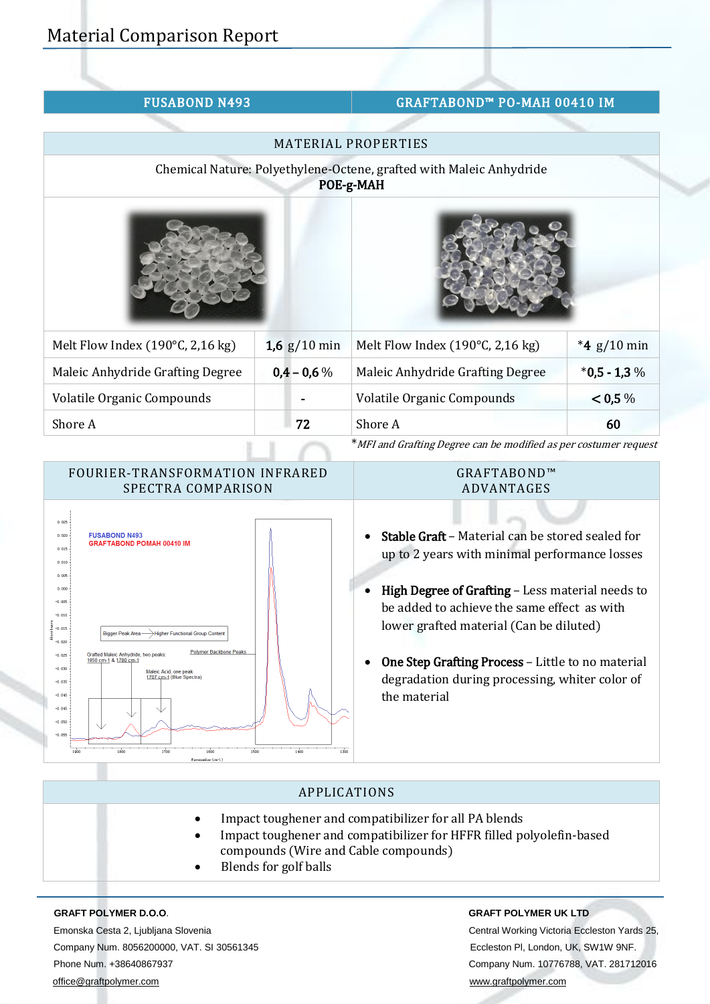# FUSABOND N493 GRAFTABOND™ PO-MAH 00410 IM

|                                  |                | MATERIAL PROPERTIES                                                              |                |
|----------------------------------|----------------|----------------------------------------------------------------------------------|----------------|
|                                  |                | Chemical Nature: Polyethylene-Octene, grafted with Maleic Anhydride<br>POE-g-MAH |                |
|                                  |                |                                                                                  |                |
| Melt Flow Index (190°C, 2,16 kg) | 1,6 $g/10$ min | Melt Flow Index (190°C, 2,16 kg)                                                 | *4 $g/10$ min  |
| Maleic Anhydride Grafting Degree | $0,4 - 0,6 %$  | Maleic Anhydride Grafting Degree                                                 | $*0,5 - 1,3 %$ |
| Volatile Organic Compounds       |                | Volatile Organic Compounds                                                       | < 0.5 %        |
| Shore A                          | 72             | Shore A                                                                          | 60             |
|                                  |                | * MEL and Crafting Degree can be modified as nor sectionar request               |                |

`MFI and Grafting Degree can be modified as per costumer request

# FOURIER-TRANSFORMATION INFRARED SPECTRA COMPARISON



## GRAFTABOND™ ADVANTAGES

- Stable Graft Material can be stored sealed for up to 2 years with minimal performance losses
- High Degree of Grafting Less material needs to be added to achieve the same effect as with lower grafted material (Can be diluted)
- One Step Grafting Process Little to no material degradation during processing, whiter color of the material

# APPLICATIONS

- Impact toughener and compatibilizer for all PA blends
- Impact toughener and compatibilizer for HFFR filled polyolefin-based compounds (Wire and Cable compounds)
- Blends for golf balls

Emonska Cesta 2, Ljubljana Slovenia Central Working Victoria Eccleston Yards 25, Company Num. 8056200000, VAT. SI 30561345 Eccleston Pl, London, UK, SW1W 9NF. Phone Num. +38640867937 Company Num. 10776788, VAT. 281712016 [office@graftpolymer.com](mailto:office@graftpolymer.com) [www.graftpolymer.com](http://www.graftpolymer.com/)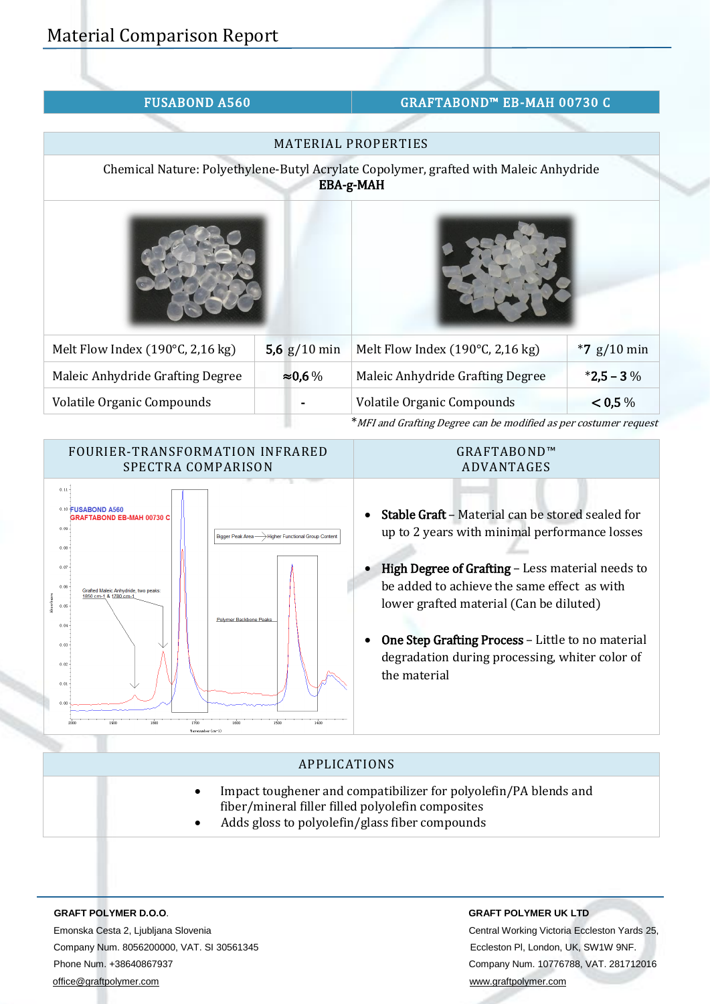|  |  | <b>FUSABOND A560</b> |  |
|--|--|----------------------|--|
|  |  |                      |  |

# GRAFTABOND™ EB-MAH 00730 C

|                                      |                 | <b>MATERIAL PROPERTIES</b>                                                                                |               |
|--------------------------------------|-----------------|-----------------------------------------------------------------------------------------------------------|---------------|
|                                      |                 | Chemical Nature: Polyethylene-Butyl Acrylate Copolymer, grafted with Maleic Anhydride<br><b>EBA-g-MAH</b> |               |
|                                      |                 |                                                                                                           |               |
| Melt Flow Index (190 $°C$ , 2,16 kg) | 5,6 $g/10$ min  | Melt Flow Index (190 $\degree$ C, 2,16 kg)                                                                | $*7$ g/10 min |
| Maleic Anhydride Grafting Degree     | $\approx 0.6\%$ | Maleic Anhydride Grafting Degree                                                                          | $*2,5 - 3\%$  |
| <b>Volatile Organic Compounds</b>    |                 | Volatile Organic Compounds                                                                                | < 0.5 %       |
|                                      |                 | * MFI and Grafting Degree can be modified as per costumer request                                         |               |

\*MFI and Grafting Degree can be modified as per costumer request



# APPLICATIONS

- Impact toughener and compatibilizer for polyolefin/PA blends and fiber/mineral filler filled polyolefin composites
- Adds gloss to polyolefin/glass fiber compounds

Emonska Cesta 2, Ljubljana Slovenia Central Working Victoria Eccleston Yards 25, Company Num. 8056200000, VAT. SI 30561345 Eccleston Pl, London, UK, SW1W 9NF. Phone Num. +38640867937 Company Num. 10776788, VAT. 281712016 [office@graftpolymer.com](mailto:office@graftpolymer.com) [www.graftpolymer.com](http://www.graftpolymer.com/)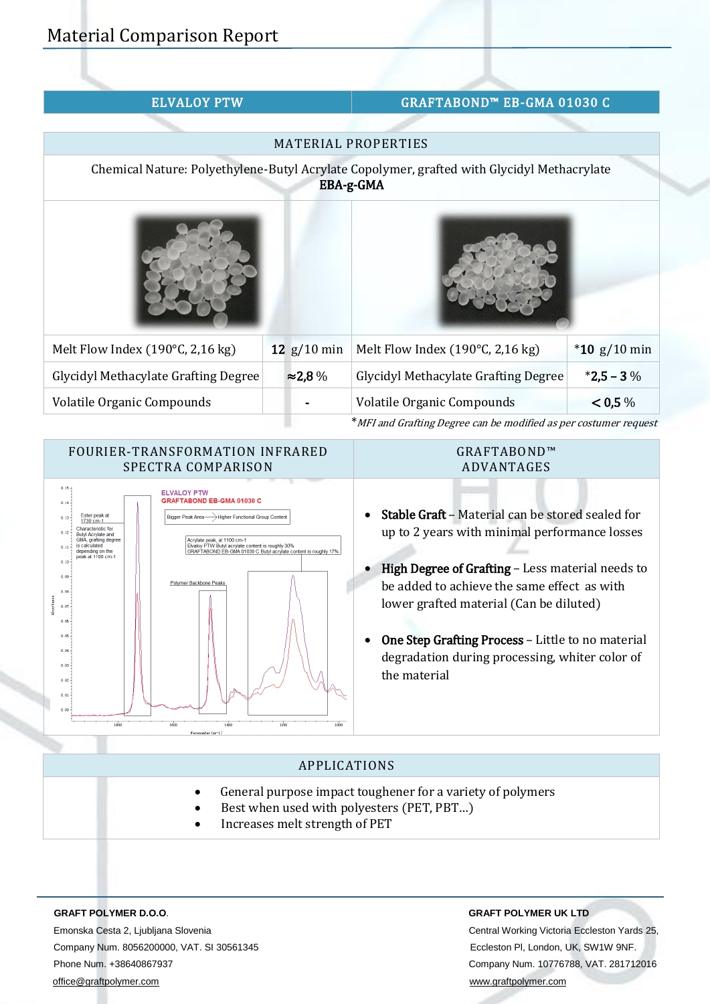| <b>ELVALOY PTW</b> |  |  |
|--------------------|--|--|
|                    |  |  |

# GRAFTABOND™ EB-GMA 01030 C

|                                             |                 | <b>MATERIAL PROPERTIES</b>                                                                              |                |
|---------------------------------------------|-----------------|---------------------------------------------------------------------------------------------------------|----------------|
|                                             |                 | Chemical Nature: Polyethylene-Butyl Acrylate Copolymer, grafted with Glycidyl Methacrylate<br>EBA-g-GMA |                |
|                                             |                 |                                                                                                         |                |
| Melt Flow Index (190 $°C$ , 2,16 kg)        | 12 $g/10$ min   | Melt Flow Index (190 $°C$ , 2,16 kg)                                                                    | $*10$ g/10 min |
| <b>Glycidyl Methacylate Grafting Degree</b> | $\approx$ 2,8 % | <b>Glycidyl Methacylate Grafting Degree</b>                                                             | $*2,5 - 3\%$   |
| Volatile Organic Compounds                  |                 | <b>Volatile Organic Compounds</b>                                                                       | < 0.5 %        |
|                                             |                 | * MFI and Grafting Degree can be modified as per costumer request                                       |                |

## FOURIER-TRANSFORMATION INFRARED SPECTRA COMPARISON



## GRAFTABOND™ ADVANTAGES

- Stable Graft Material can be stored sealed for up to 2 years with minimal performance losses
- High Degree of Grafting Less material needs to be added to achieve the same effect as with lower grafted material (Can be diluted)
- One Step Grafting Process Little to no material degradation during processing, whiter color of the material

# APPLICATIONS

- General purpose impact toughener for a variety of polymers
- Best when used with polyesters (PET, PBT…)
- Increases melt strength of PET

Emonska Cesta 2, Ljubljana Slovenia Central Working Victoria Eccleston Yards 25, Company Num. 8056200000, VAT. SI 30561345 Eccleston Pl, London, UK, SW1W 9NF. Phone Num. +38640867937 Company Num. 10776788, VAT. 281712016 [office@graftpolymer.com](mailto:office@graftpolymer.com) [www.graftpolymer.com](http://www.graftpolymer.com/)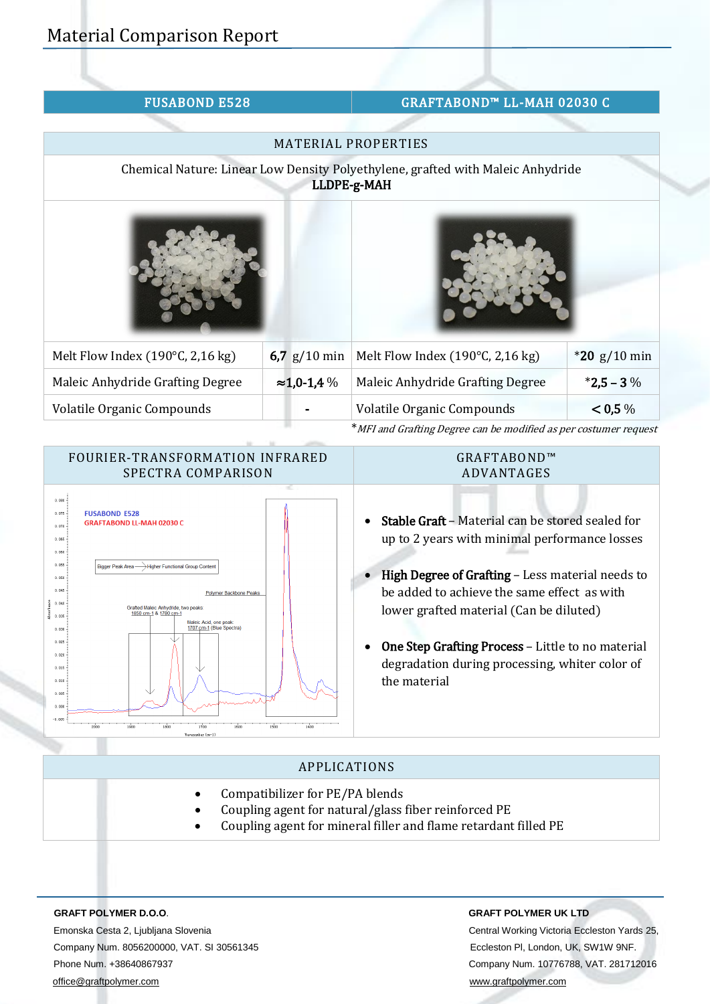| <b>FUSABOND E528</b>             |                     | GRAFTABOND™ LL-MAH 02030 C                                                                     |                |
|----------------------------------|---------------------|------------------------------------------------------------------------------------------------|----------------|
|                                  |                     |                                                                                                |                |
|                                  |                     | <b>MATERIAL PROPERTIES</b>                                                                     |                |
|                                  |                     | Chemical Nature: Linear Low Density Polyethylene, grafted with Maleic Anhydride<br>LLDPE-g-MAH |                |
|                                  |                     |                                                                                                |                |
| Melt Flow Index (190°C, 2,16 kg) | 6,7 $g/10$ min      | Melt Flow Index (190°C, 2,16 kg)                                                               | $*20$ g/10 min |
| Maleic Anhydride Grafting Degree | $\approx$ 1,0-1,4 % | Maleic Anhydride Grafting Degree                                                               | $*2,5 - 3\%$   |
| Volatile Organic Compounds       |                     | Volatile Organic Compounds                                                                     | < 0.5 %        |
|                                  |                     | * MFI and Grafting Degree can be modified as per costumer request                              |                |



## GRAFTABOND™ ADVANTAGES

- Stable Graft Material can be stored sealed for up to 2 years with minimal performance losses
- High Degree of Grafting Less material needs to be added to achieve the same effect as with lower grafted material (Can be diluted)
- One Step Grafting Process Little to no material degradation during processing, whiter color of the material

# APPLICATIONS

- Compatibilizer for PE/PA blends
- Coupling agent for natural/glass fiber reinforced PE
- Coupling agent for mineral filler and flame retardant filled PE

Emonska Cesta 2, Ljubljana Slovenia Central Working Victoria Eccleston Yards 25, Company Num. 8056200000, VAT. SI 30561345 Eccleston Pl, London, UK, SW1W 9NF. Phone Num. +38640867937 Company Num. 10776788, VAT. 281712016 [office@graftpolymer.com](mailto:office@graftpolymer.com) [www.graftpolymer.com](http://www.graftpolymer.com/)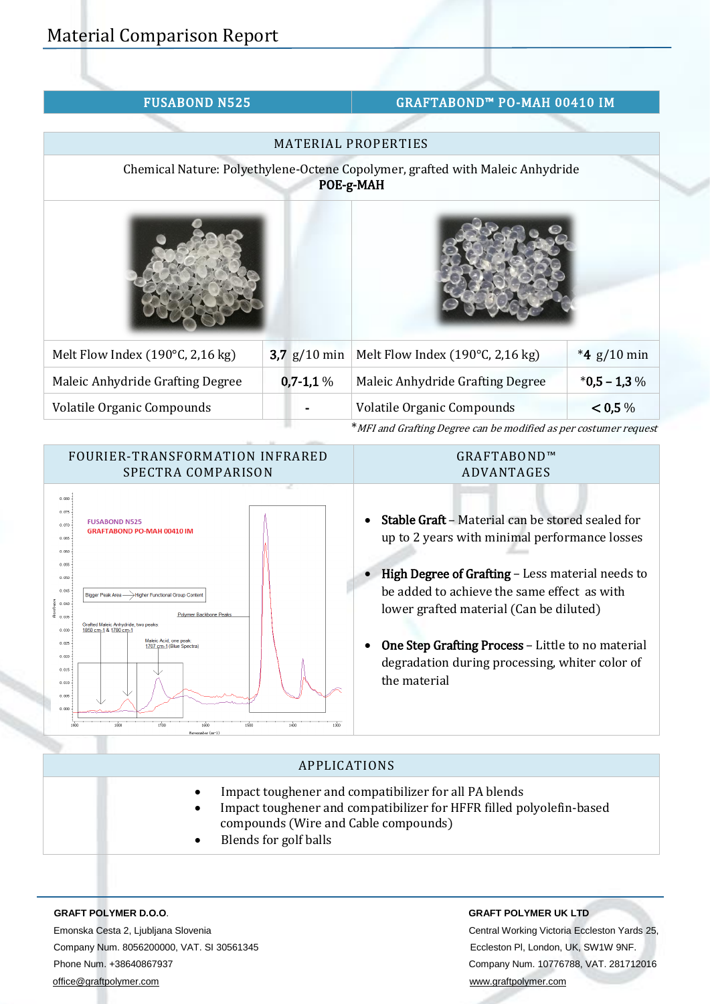|  |  | <b>FUSABOND N525</b> |
|--|--|----------------------|
|  |  |                      |

# GRAFTABOND™ PO-MAH 00410 IM

|                                  |                | <b>MATERIAL PROPERTIES</b>                                                                 |                |
|----------------------------------|----------------|--------------------------------------------------------------------------------------------|----------------|
|                                  |                | Chemical Nature: Polyethylene-Octene Copolymer, grafted with Maleic Anhydride<br>POE-g-MAH |                |
|                                  |                |                                                                                            |                |
| Melt Flow Index (190°C, 2,16 kg) | 3,7 $g/10$ min | Melt Flow Index (190°C, 2,16 kg)                                                           | *4 $g/10$ min  |
| Maleic Anhydride Grafting Degree | $0,7-1,1%$     | Maleic Anhydride Grafting Degree                                                           | $*0,5 - 1,3\%$ |
| Volatile Organic Compounds       |                | Volatile Organic Compounds                                                                 | < 0.5 %        |
|                                  |                | *MFI and Grafting Degree can be modified as per costumer request                           |                |

FOURIER-TRANSFORMATION INFRARED SPECTRA COMPARISON

### GRAFTABOND™ ADVANTAGES



- Stable Graft Material can be stored sealed for up to 2 years with minimal performance losses
- High Degree of Grafting Less material needs to be added to achieve the same effect as with lower grafted material (Can be diluted)
- One Step Grafting Process Little to no material degradation during processing, whiter color of the material

# APPLICATIONS

- Impact toughener and compatibilizer for all PA blends
	- Impact toughener and compatibilizer for HFFR filled polyolefin-based compounds (Wire and Cable compounds)
- Blends for golf balls

Emonska Cesta 2, Ljubljana Slovenia Central Working Victoria Eccleston Yards 25, Company Num. 8056200000, VAT. SI 30561345 Eccleston Pl, London, UK, SW1W 9NF. Phone Num. +38640867937 Company Num. 10776788, VAT. 281712016 [office@graftpolymer.com](mailto:office@graftpolymer.com) [www.graftpolymer.com](http://www.graftpolymer.com/)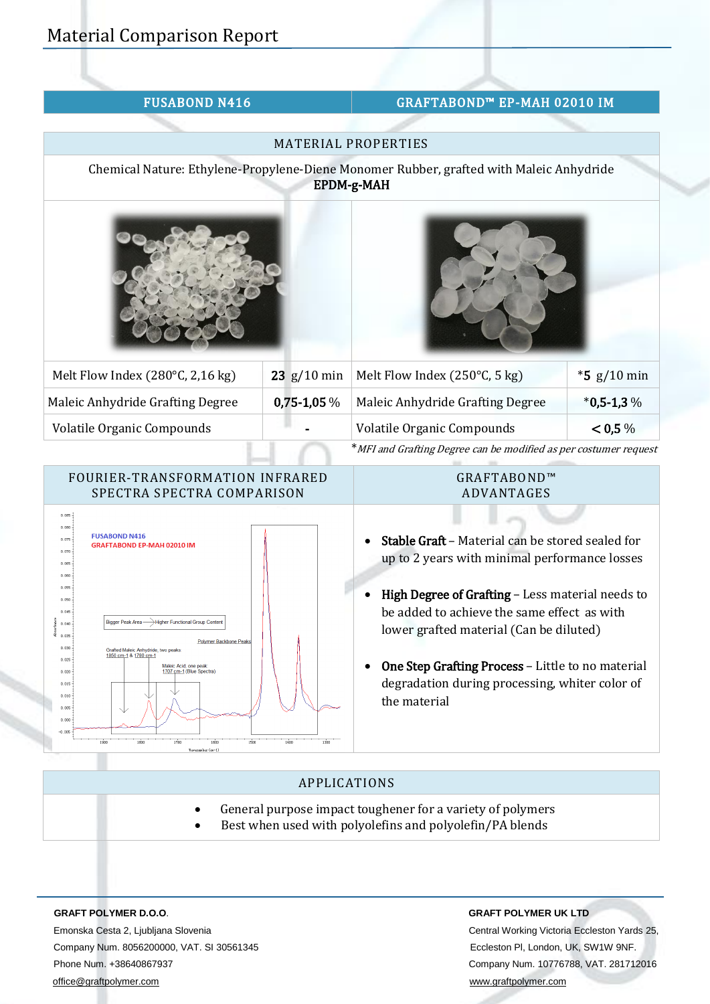| <b>FUSABOND N416</b> |
|----------------------|
|----------------------|

# GRAFTABOND™ EP-MAH 02010 IM

|                                  |                       | <b>MATERIAL PROPERTIES</b>                                                                                   |               |
|----------------------------------|-----------------------|--------------------------------------------------------------------------------------------------------------|---------------|
|                                  |                       | Chemical Nature: Ethylene-Propylene-Diene Monomer Rubber, grafted with Maleic Anhydride<br><b>EPDM-g-MAH</b> |               |
|                                  |                       |                                                                                                              |               |
| Melt Flow Index (280°C, 2,16 kg) | $23 \frac{g}{10}$ min | Melt Flow Index (250°C, 5 kg)                                                                                | $*5$ g/10 min |
| Maleic Anhydride Grafting Degree | $0,75-1,05\%$         | Maleic Anhydride Grafting Degree                                                                             | $*0,5-1,3%$   |
| Volatile Organic Compounds       |                       | Volatile Organic Compounds                                                                                   | < 0.5 %       |
|                                  |                       | $*$ $\frac{1000}{1000}$                                                                                      |               |

\*MFI and Grafting Degree can be modified as per costumer request



## GRAFTABOND™ ADVANTAGES

- Stable Graft Material can be stored sealed for up to 2 years with minimal performance losses
- High Degree of Grafting Less material needs to be added to achieve the same effect as with lower grafted material (Can be diluted)
- One Step Grafting Process Little to no material degradation during processing, whiter color of the material

# APPLICATIONS

- General purpose impact toughener for a variety of polymers
- Best when used with polyolefins and polyolefin/PA blends

 Emonska Cesta 2, Ljubljana Slovenia Central Working Victoria Eccleston Yards 25, Company Num. 8056200000, VAT. SI 30561345 Eccleston Pl, London, UK, SW1W 9NF. Phone Num. +38640867937 Company Num. 10776788, VAT. 281712016 [office@graftpolymer.com](mailto:office@graftpolymer.com) [www.graftpolymer.com](http://www.graftpolymer.com/)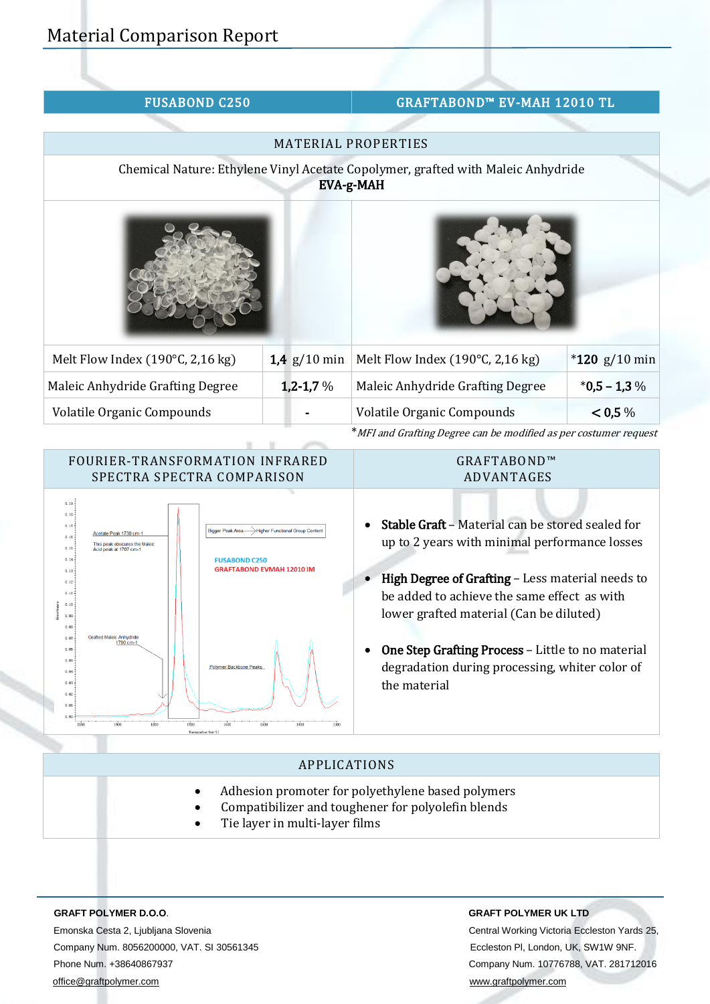| <b>FUSABOND C250</b>             |                | GRAFTABOND™ EV-MAH 12010 TL                                                                   |                 |
|----------------------------------|----------------|-----------------------------------------------------------------------------------------------|-----------------|
|                                  |                |                                                                                               |                 |
|                                  |                | MATERIAL PROPERTIES                                                                           |                 |
|                                  |                | Chemical Nature: Ethylene Vinyl Acetate Copolymer, grafted with Maleic Anhydride<br>EVA-g-MAH |                 |
|                                  |                |                                                                                               |                 |
| Melt Flow Index (190°C, 2,16 kg) | 1,4 $g/10$ min | Melt Flow Index (190°C, 2,16 kg)                                                              | $*120$ g/10 min |
| Maleic Anhydride Grafting Degree | $1,2-1,7%$     | Maleic Anhydride Grafting Degree                                                              | $*0,5 - 1,3\%$  |
| Volatile Organic Compounds       |                | Volatile Organic Compounds                                                                    | < 0.5 %         |
|                                  |                | * MFI and Grafting Degree can be modified as per costumer request                             |                 |

## FOURIER-TRANSFORMATION INFRARED SPECTRA SPECTRA COMPARISON



## GRAFTABOND™ ADVANTAGES

- Stable Graft Material can be stored sealed for up to 2 years with minimal performance losses
- High Degree of Grafting Less material needs to be added to achieve the same effect as with lower grafted material (Can be diluted)
- One Step Grafting Process Little to no material degradation during processing, whiter color of the material

# APPLICATIONS

- Adhesion promoter for polyethylene based polymers
	- Compatibilizer and toughener for polyolefin blends
- Tie layer in multi-layer films

Emonska Cesta 2, Ljubljana Slovenia Central Working Victoria Eccleston Yards 25, Company Num. 8056200000, VAT. SI 30561345 Eccleston Pl, London, UK, SW1W 9NF. Phone Num. +38640867937 Company Num. 10776788, VAT. 281712016 [office@graftpolymer.com](mailto:office@graftpolymer.com) [www.graftpolymer.com](http://www.graftpolymer.com/)